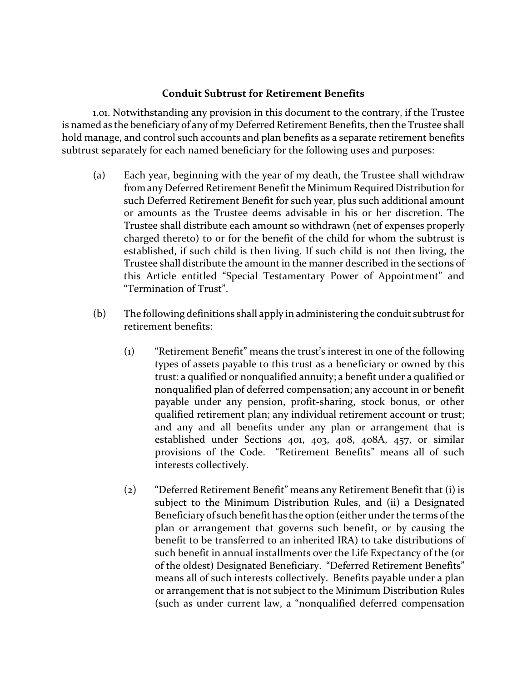## **Conduit Subtrust for Retirement Benefits**

1.01. Notwithstanding any provision in this document to the contrary, if the Trustee is named as the beneficiary of any of my Deferred Retirement Benefits, then the Trustee shall hold manage, and control such accounts and plan benefits as a separate retirement benefits subtrust separately for each named beneficiary for the following uses and purposes:

- (a) Each year, beginning with the year of my death, the Trustee shall withdraw from any Deferred Retirement Benefit the Minimum Required Distribution for such Deferred Retirement Benefit for such year, plus such additional amount or amounts as the Trustee deems advisable in his or her discretion. The Trustee shall distribute each amount so withdrawn (net of expenses properly charged thereto) to or for the benefit of the child for whom the subtrust is established, if such child is then living. If such child is not then living, the Trustee shall distribute the amount in the manner described in the sections of this Article entitled "Special Testamentary Power of Appointment" and "Termination of Trust".
- (b) The following definitions shall apply in administering the conduit subtrust for retirement benefits:
	- (1) "Retirement Benefit" means the trust's interest in one of the following types of assets payable to this trust as a beneficiary or owned by this trust: a qualified or nonqualified annuity; a benefit under a qualified or nonqualified plan of deferred compensation; any account in or benefit payable under any pension, profit-sharing, stock bonus, or other qualified retirement plan; any individual retirement account or trust; and any and all benefits under any plan or arrangement that is established under Sections 401, 403, 408, 408A, 457, or similar provisions of the Code. "Retirement Benefits" means all of such interests collectively.
	- (2) "Deferred Retirement Benefit" means any Retirement Benefit that (i) is subject to the Minimum Distribution Rules, and (ii) a Designated Beneficiary of such benefit has the option (either under the terms of the plan or arrangement that governs such benefit, or by causing the benefit to be transferred to an inherited IRA) to take distributions of such benefit in annual installments over the Life Expectancy of the (or of the oldest) Designated Beneficiary. "Deferred Retirement Benefits" means all of such interests collectively. Benefits payable under a plan or arrangement that is not subject to the Minimum Distribution Rules (such as under current law, a "nonqualified deferred compensation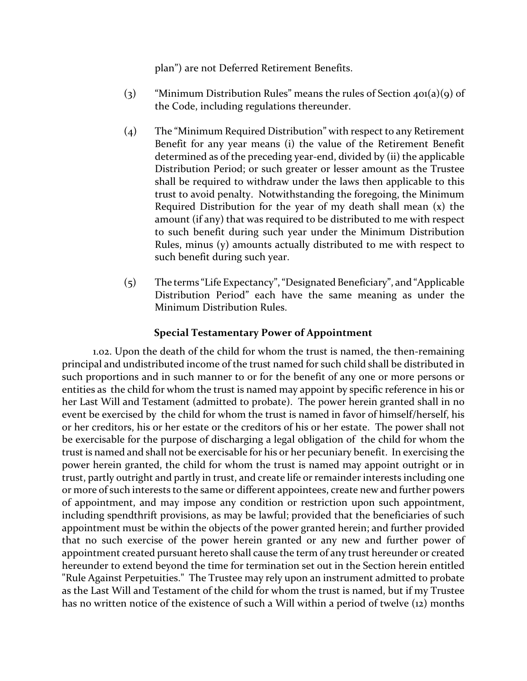plan") are not Deferred Retirement Benefits.

- (3) "Minimum Distribution Rules" means the rules of Section  $40(a)(9)$  of the Code, including regulations thereunder.
- (4) The "Minimum Required Distribution" with respect to any Retirement Benefit for any year means (i) the value of the Retirement Benefit determined as of the preceding year-end, divided by (ii) the applicable Distribution Period; or such greater or lesser amount as the Trustee shall be required to withdraw under the laws then applicable to this trust to avoid penalty. Notwithstanding the foregoing, the Minimum Required Distribution for the year of my death shall mean (x) the amount (if any) that was required to be distributed to me with respect to such benefit during such year under the Minimum Distribution Rules, minus (y) amounts actually distributed to me with respect to such benefit during such year.
- (5) The terms "Life Expectancy", "Designated Beneficiary", and "Applicable Distribution Period" each have the same meaning as under the Minimum Distribution Rules.

## **Special Testamentary Power of Appointment**

1.02. Upon the death of the child for whom the trust is named, the then-remaining principal and undistributed income of the trust named for such child shall be distributed in such proportions and in such manner to or for the benefit of any one or more persons or entities as the child for whom the trust is named may appoint by specific reference in his or her Last Will and Testament (admitted to probate). The power herein granted shall in no event be exercised by the child for whom the trust is named in favor of himself/herself, his or her creditors, his or her estate or the creditors of his or her estate. The power shall not be exercisable for the purpose of discharging a legal obligation of the child for whom the trust is named and shall not be exercisable for his or her pecuniary benefit. In exercising the power herein granted, the child for whom the trust is named may appoint outright or in trust, partly outright and partly in trust, and create life or remainder interests including one or more of such interests to the same or different appointees, create new and further powers of appointment, and may impose any condition or restriction upon such appointment, including spendthrift provisions, as may be lawful; provided that the beneficiaries of such appointment must be within the objects of the power granted herein; and further provided that no such exercise of the power herein granted or any new and further power of appointment created pursuant hereto shall cause the term of any trust hereunder or created hereunder to extend beyond the time for termination set out in the Section herein entitled "Rule Against Perpetuities." The Trustee may rely upon an instrument admitted to probate as the Last Will and Testament of the child for whom the trust is named, but if my Trustee has no written notice of the existence of such a Will within a period of twelve (12) months